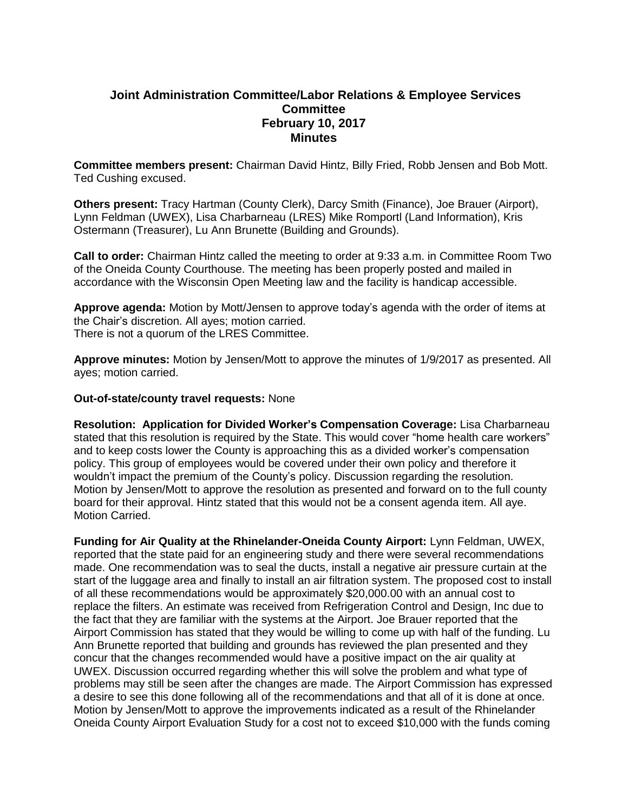# **Joint Administration Committee/Labor Relations & Employee Services Committee February 10, 2017 Minutes**

**Committee members present:** Chairman David Hintz, Billy Fried, Robb Jensen and Bob Mott. Ted Cushing excused.

**Others present:** Tracy Hartman (County Clerk), Darcy Smith (Finance), Joe Brauer (Airport), Lynn Feldman (UWEX), Lisa Charbarneau (LRES) Mike Romportl (Land Information), Kris Ostermann (Treasurer), Lu Ann Brunette (Building and Grounds).

**Call to order:** Chairman Hintz called the meeting to order at 9:33 a.m. in Committee Room Two of the Oneida County Courthouse. The meeting has been properly posted and mailed in accordance with the Wisconsin Open Meeting law and the facility is handicap accessible.

**Approve agenda:** Motion by Mott/Jensen to approve today's agenda with the order of items at the Chair's discretion. All ayes; motion carried. There is not a quorum of the LRES Committee.

**Approve minutes:** Motion by Jensen/Mott to approve the minutes of 1/9/2017 as presented. All ayes; motion carried.

#### **Out-of-state/county travel requests:** None

**Resolution: Application for Divided Worker's Compensation Coverage:** Lisa Charbarneau stated that this resolution is required by the State. This would cover "home health care workers" and to keep costs lower the County is approaching this as a divided worker's compensation policy. This group of employees would be covered under their own policy and therefore it wouldn't impact the premium of the County's policy. Discussion regarding the resolution. Motion by Jensen/Mott to approve the resolution as presented and forward on to the full county board for their approval. Hintz stated that this would not be a consent agenda item. All aye. Motion Carried.

**Funding for Air Quality at the Rhinelander-Oneida County Airport:** Lynn Feldman, UWEX, reported that the state paid for an engineering study and there were several recommendations made. One recommendation was to seal the ducts, install a negative air pressure curtain at the start of the luggage area and finally to install an air filtration system. The proposed cost to install of all these recommendations would be approximately \$20,000.00 with an annual cost to replace the filters. An estimate was received from Refrigeration Control and Design, Inc due to the fact that they are familiar with the systems at the Airport. Joe Brauer reported that the Airport Commission has stated that they would be willing to come up with half of the funding. Lu Ann Brunette reported that building and grounds has reviewed the plan presented and they concur that the changes recommended would have a positive impact on the air quality at UWEX. Discussion occurred regarding whether this will solve the problem and what type of problems may still be seen after the changes are made. The Airport Commission has expressed a desire to see this done following all of the recommendations and that all of it is done at once. Motion by Jensen/Mott to approve the improvements indicated as a result of the Rhinelander Oneida County Airport Evaluation Study for a cost not to exceed \$10,000 with the funds coming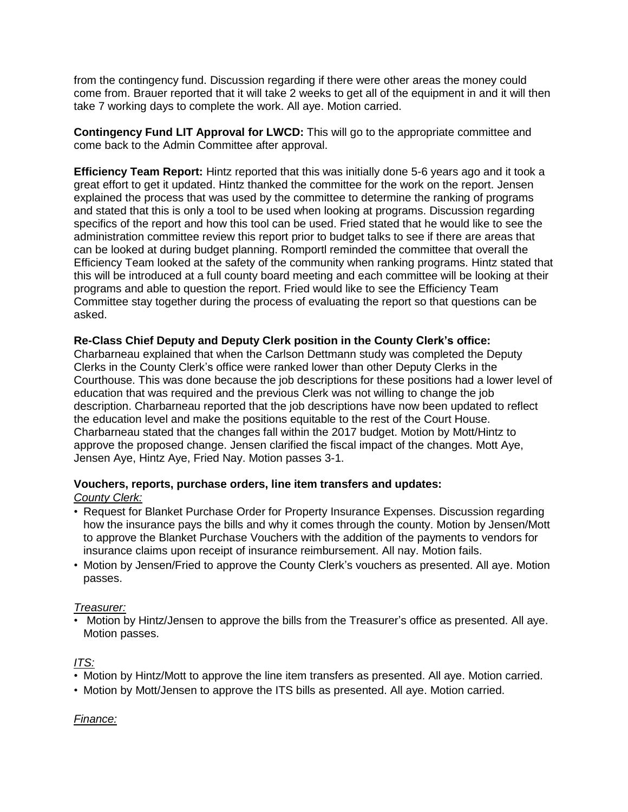from the contingency fund. Discussion regarding if there were other areas the money could come from. Brauer reported that it will take 2 weeks to get all of the equipment in and it will then take 7 working days to complete the work. All aye. Motion carried.

**Contingency Fund LIT Approval for LWCD:** This will go to the appropriate committee and come back to the Admin Committee after approval.

**Efficiency Team Report:** Hintz reported that this was initially done 5-6 years ago and it took a great effort to get it updated. Hintz thanked the committee for the work on the report. Jensen explained the process that was used by the committee to determine the ranking of programs and stated that this is only a tool to be used when looking at programs. Discussion regarding specifics of the report and how this tool can be used. Fried stated that he would like to see the administration committee review this report prior to budget talks to see if there are areas that can be looked at during budget planning. Romportl reminded the committee that overall the Efficiency Team looked at the safety of the community when ranking programs. Hintz stated that this will be introduced at a full county board meeting and each committee will be looking at their programs and able to question the report. Fried would like to see the Efficiency Team Committee stay together during the process of evaluating the report so that questions can be asked.

## **Re-Class Chief Deputy and Deputy Clerk position in the County Clerk's office:**

Charbarneau explained that when the Carlson Dettmann study was completed the Deputy Clerks in the County Clerk's office were ranked lower than other Deputy Clerks in the Courthouse. This was done because the job descriptions for these positions had a lower level of education that was required and the previous Clerk was not willing to change the job description. Charbarneau reported that the job descriptions have now been updated to reflect the education level and make the positions equitable to the rest of the Court House. Charbarneau stated that the changes fall within the 2017 budget. Motion by Mott/Hintz to approve the proposed change. Jensen clarified the fiscal impact of the changes. Mott Aye, Jensen Aye, Hintz Aye, Fried Nay. Motion passes 3-1.

#### **Vouchers, reports, purchase orders, line item transfers and updates:** *County Clerk:*

- Request for Blanket Purchase Order for Property Insurance Expenses. Discussion regarding how the insurance pays the bills and why it comes through the county. Motion by Jensen/Mott to approve the Blanket Purchase Vouchers with the addition of the payments to vendors for insurance claims upon receipt of insurance reimbursement. All nay. Motion fails.
- Motion by Jensen/Fried to approve the County Clerk's vouchers as presented. All aye. Motion passes.

### *Treasurer:*

• Motion by Hintz/Jensen to approve the bills from the Treasurer's office as presented. All aye. Motion passes.

# *ITS:*

- Motion by Hintz/Mott to approve the line item transfers as presented. All aye. Motion carried.
- Motion by Mott/Jensen to approve the ITS bills as presented. All aye. Motion carried.

### *Finance:*